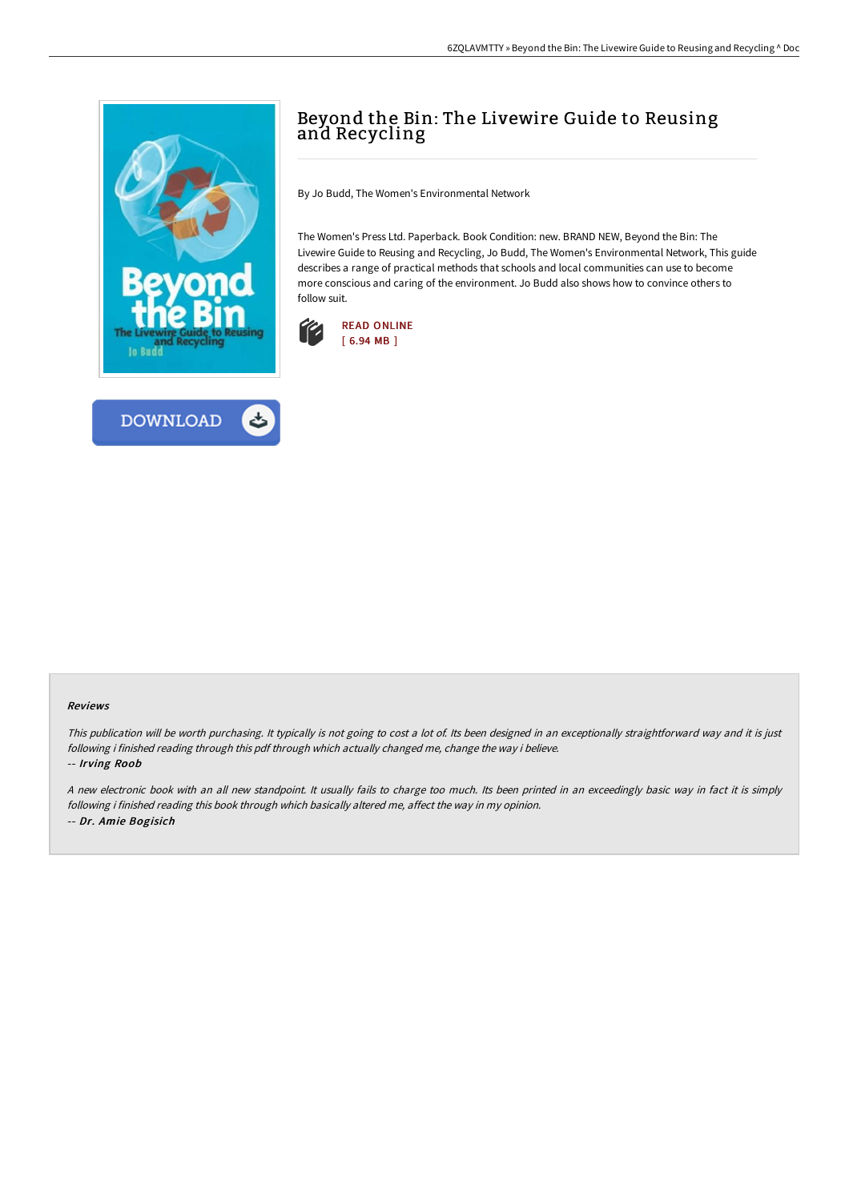



## Beyond the Bin: The Livewire Guide to Reusing and Recycling

By Jo Budd, The Women's Environmental Network

The Women's Press Ltd. Paperback. Book Condition: new. BRAND NEW, Beyond the Bin: The Livewire Guide to Reusing and Recycling, Jo Budd, The Women's Environmental Network, This guide describes a range of practical methods that schools and local communities can use to become more conscious and caring of the environment. Jo Budd also shows how to convince others to follow suit.



## Reviews

This publication will be worth purchasing. It typically is not going to cost <sup>a</sup> lot of. Its been designed in an exceptionally straightforward way and it is just following i finished reading through this pdf through which actually changed me, change the way i believe.

-- Irving Roob

<sup>A</sup> new electronic book with an all new standpoint. It usually fails to charge too much. Its been printed in an exceedingly basic way in fact it is simply following i finished reading this book through which basically altered me, affect the way in my opinion. -- Dr. Amie Bogisich